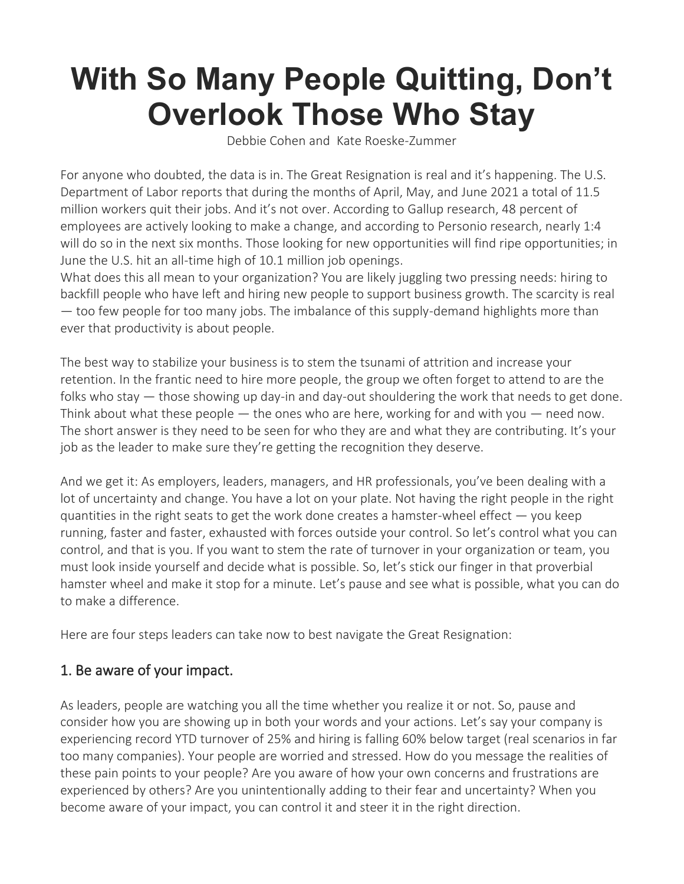# **With So Many People Quitting, Don't Overlook Those Who Stay**

[Debbie Cohen](https://hbr.org/search?term=debbie%20cohen) and [Kate Roeske-Zummer](https://hbr.org/search?term=kate%20roeske-zummer)

For anyone who doubted, the data is in. The Great Resignation is real and it's happening. The [U.S.](https://www.bls.gov/news.release/jolts.t04.htm)  [Department of Labor reports](https://www.bls.gov/news.release/jolts.t04.htm) that during the months of April, May, and June 2021 a total of 11.5 million workers quit their jobs. And it's not over. According to [Gallup research,](https://www.gallup.com/workplace/351545/great-resignation-really-great-discontent.aspx) 48 percent of employees are actively looking to make a change, and according to [Personio research,](https://hr.personio.de/hubfs/EN_Downloads/202104_HRStudy_UKI.pdf) nearly 1:4 will do so in the next six months. Those looking for new opportunities will find ripe opportunities; in June the U.S. hit an all-time high of [10.1 million job](https://www.bls.gov/news.release/jolts.toc.htm) openings.

What does this all mean to your organization? You are likely juggling two pressing needs: hiring to backfill people who have left and hiring new people to support business growth. The scarcity is real — too few people for too many jobs. The imbalance of this supply-demand highlights more than ever that productivity is about people.

The best way to stabilize your business is to stem the tsunami of attrition and increase your retention. In the frantic need to hire more people, the group we often forget to attend to are the folks who stay  $-$  those showing up day-in and day-out shouldering the work that needs to get done. Think about what these people  $-$  the ones who are here, working for and with you  $-$  need now. The short answer is they need to be seen for who they are and what they are contributing. It's your job as the leader to make sure they're getting the recognition they deserve.

And we get it: As employers, leaders, managers, and HR professionals, you've been dealing with a lot of uncertainty and change. You have a lot on your plate. Not having the right people in the right quantities in the right seats to get the work done creates a hamster-wheel effect  $-$  you keep running, faster and faster, exhausted with forces outside your control. So let's control what you can control, and that is you. If you want to stem the rate of turnover in your organization or team, you must look inside yourself and decide what is possible. So, let's stick our finger in that proverbial hamster wheel and make it stop for a minute. Let's pause and see what is possible, what you can do to make a difference.

Here are four steps leaders can take now to best navigate the Great Resignation:

# 1. Be aware of your impact.

As leaders, people are watching you all the time whether you realize it or not. So, pause and consider how you are showing up in both your words and your actions. Let's say your company is experiencing record YTD turnover of 25% and hiring is falling 60% below target (real scenarios in far too many companies). Your people are worried and stressed. How do you message the realities of these pain points to your people? Are you aware of how your own concerns and frustrations are experienced by others? Are you unintentionally adding to their fear and uncertainty? When you become aware of your impact, you can control it and steer it in the right direction.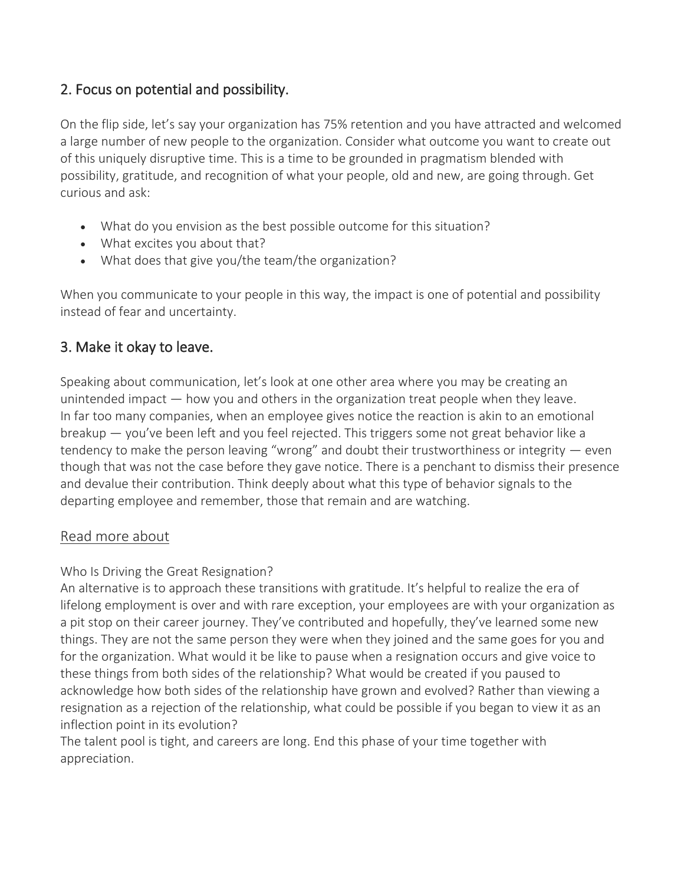# 2. Focus on potential and possibility.

On the flip side, let's say your organization has 75% retention and you have attracted and welcomed a large number of new people to the organization. Consider what outcome you want to create out of this uniquely disruptive time. This is a time to be grounded in pragmatism blended with possibility, gratitude, and recognition of what your people, old and new, are going through. Get curious and ask:

- What do you envision as the best possible outcome for this situation?
- What excites you about that?
- What does that give you/the team/the organization?

When you communicate to your people in this way, the impact is one of potential and possibility instead of fear and uncertainty.

### 3. Make it okay to leave.

Speaking about communication, let's look at one other area where you may be creating an unintended impact — how you and others in the organization treat people when they leave. In far too many companies, when an employee gives notice the reaction is akin to an emotional breakup — you've been left and you feel rejected. This triggers some not great behavior like a tendency to make the person leaving "wrong" and doubt their trustworthiness or integrity — even though that was not the case before they gave notice. There is a penchant to dismiss their presence and devalue their contribution. Think deeply about what this type of behavior signals to the departing employee and remember, those that remain and are watching.

#### Read more about

#### [Who Is Driving the Great Resignation?](https://hbr.org/2021/09/who-is-driving-the-great-resignation)

An alternative is to approach these transitions with gratitude. It's helpful to realize the era of lifelong employment is over and with rare exception, your employees are with your organization as a pit stop on their career journey. They've contributed and hopefully, they've learned some new things. They are not the same person they were when they joined and the same goes for you and for the organization. What would it be like to pause when a resignation occurs and give voice to these things from both sides of the relationship? What would be created if you paused to acknowledge how both sides of the relationship have grown and evolved? Rather than viewing a resignation as a rejection of the relationship, what could be possible if you began to view it as an inflection point in its evolution?

The talent pool is tight, and careers are long. End this phase of your time together with appreciation.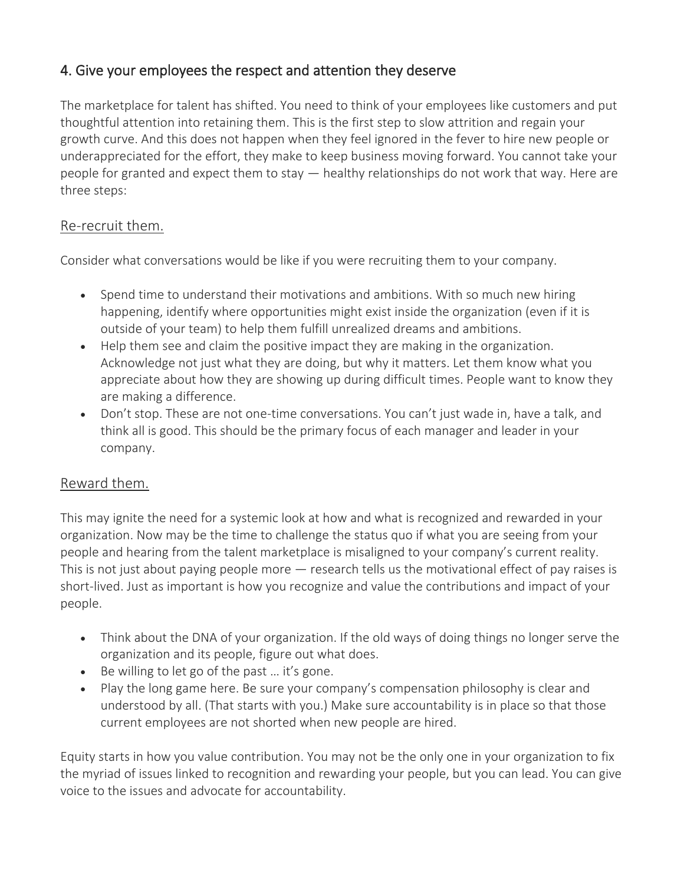# 4. Give your employees the respect and attention they deserve

The marketplace for talent has shifted. You need to think of your employees like customers and put thoughtful attention into retaining them. This is the first step to slow attrition and regain your growth curve. And this does not happen when they feel ignored in the fever to hire new people or underappreciated for the effort, they make to keep business moving forward. You cannot take your people for granted and expect them to stay — healthy relationships do not work that way. Here are three steps:

# Re-recruit them.

Consider what conversations would be like if you were recruiting them to your company.

- Spend time to understand their motivations and ambitions. With so much new hiring happening, identify where opportunities might exist inside the organization (even if it is outside of your team) to help them fulfill unrealized dreams and ambitions.
- Help them see and claim the positive impact they are making in the organization. Acknowledge not just what they are doing, but why it matters. Let them know what you appreciate about how they are showing up during difficult times. People want to know they are making a difference.
- Don't stop. These are not one-time conversations. You can't just wade in, have a talk, and think all is good. This should be the primary focus of each manager and leader in your company.

# Reward them.

This may ignite the need for a systemic look at how and what is recognized and rewarded in your organization. Now may be the time to challenge the status quo if what you are seeing from your people and hearing from the talent marketplace is misaligned to your company's current reality. This is not just about paying people more — [research](https://hbr.org/2017/01/what-matters-more-to-your-workforce-than-money) tells us the motivational effect of pay raises is short-lived. Just as important is how you recognize and value the contributions and impact of your people.

- Think about the DNA of your organization. If the old ways of doing things no longer serve the organization and its people, figure out what does.
- Be willing to let go of the past ... it's gone.
- Play the long game here. Be sure your company's compensation philosophy is clear and understood by all. (That starts with you.) Make sure accountability is in place so that those current employees are not shorted when new people are hired.

Equity starts in how you value contribution. You may not be the only one in your organization to fix the myriad of issues linked to recognition and rewarding your people, but you can lead. You can give voice to the issues and advocate for accountability.